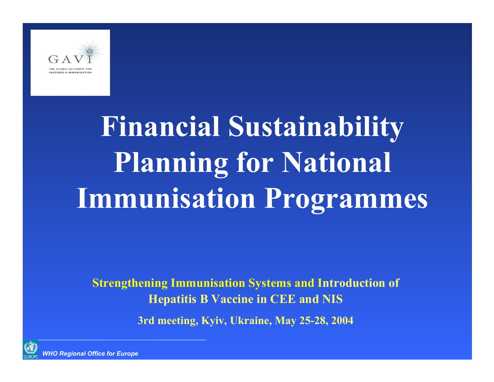

# **Financial Sustainability Planning for National Immunisation Programmes**

**Strengthening Immunisation Systems and Introduction of Hepatitis B Vaccine in CEE and NIS**

**3rd meeting, Kyiv, Ukraine, May 25-28, 2004**

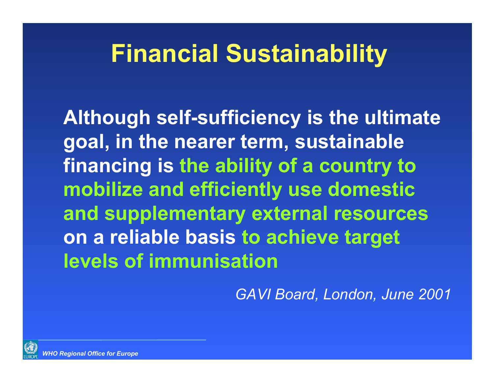## **Financial Sustainability**

**Although self-sufficiency is the ultimate goal, in the nearer term, sustainable financing is the ability of a country to mobilize and efficiently use domestic and supplementary external resources on a reliable basis to achieve target levels of immunisation**

*GAVI Board, London, June 2001*

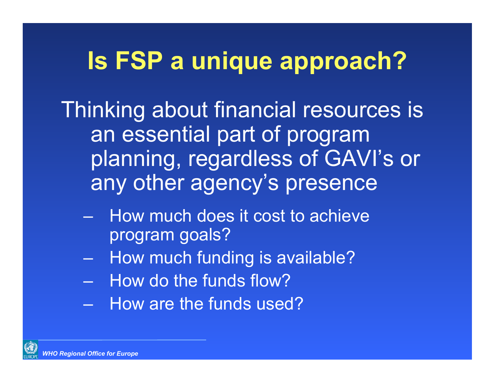## **Is FSP a unique approach?**

Thinking about financial resources is an essential part of program planning, regardless of GAVI's or any other agency's presence

- How much does it cost to achieve program goals?
- –How much funding is available?
- How do the funds flow?
- How are the funds used?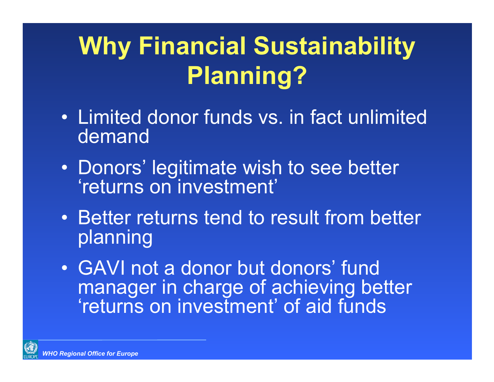## **Why Financial Sustainability Planning?**

- Limited donor funds vs. in fact unlimited demand
- Donors' legitimate wish to see better 'returns on investment'
- Better returns tend to result from better planning
- GAVI not a donor but donors' fund manager in charge of achieving better 'returns on investment' of aid funds

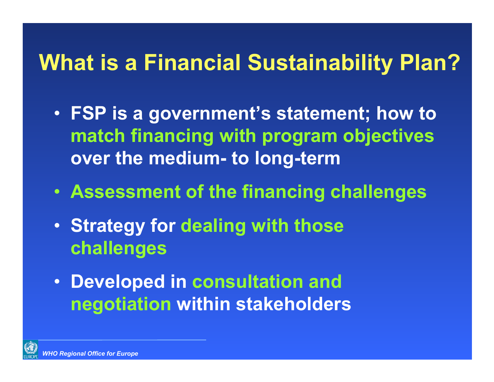#### **What is a Financial Sustainability Plan?**

- **FSP is a government's statement; how to match financing with program objectives over the medium- to long-term**
- **Assessment of the financing challenges**
- **Strategy for dealing with those challenges**
- **Developed in consultation and negotiation within stakeholders**

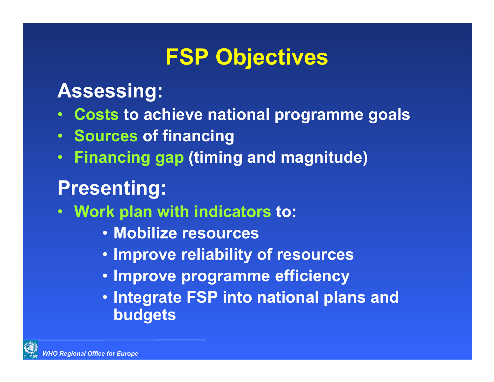### **FSP Objectives**

#### **Assessing:**

- $\bullet$ **Costs to achieve national programme goals**
- •**Sources of financing**
- •**Financing gap (timing and magnitude)**

### **Presenting:**

- $\bullet$  **Work plan with indicators to:**
	- **Mobilize resources**
	- **Improve reliability of resources**
	- **Improve programme efficiency**
	- **Integrate FSP into national plans and budgets**

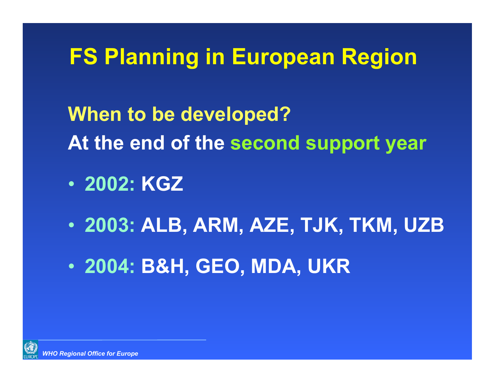### **FS Planning in European Region**

**When to be developed? At the end of the second support year**

- **2002: KGZ**
- **2003: ALB, ARM, AZE, TJK, TKM, UZB**
- $\bullet$ **2004: B&H, GEO, MDA, UKR**

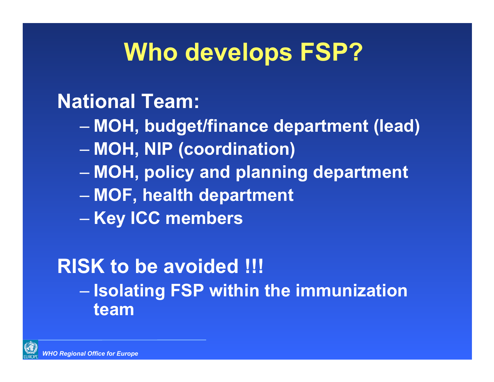## **Who develops FSP?**

#### **National Team:**

- **MOH, budget/finance department (lead)**
- –**MOH, NIP (coordination)**
- **MOH, policy and planning department**
- $\mathcal{L}_{\mathcal{A}}$  , where  $\mathcal{L}_{\mathcal{A}}$  is the set of the set of the set of the set of the set of the set of the set of the set of the set of the set of the set of the set of the set of the set of the set of the set of the **MOF, health department**
- Charles Constitution **Key ICC members**

#### **RISK to be avoided !!! Isolating FSP within the immunization team**

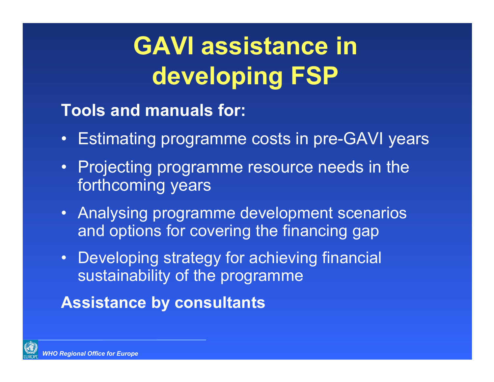## **GAVI assistance in developing FSP**

**Tools and manuals for:**

- Estimating programme costs in pre-GAVI years
- Projecting programme resource needs in the forthcoming years
- Analysing programme development scenarios and options for covering the financing gap
- Developing strategy for achieving financial sustainability of the programme

**Assistance by consultants**

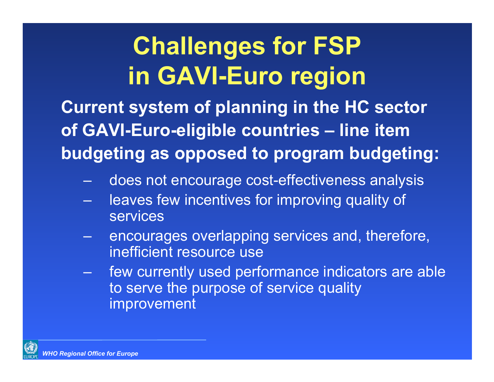**Current system of planning in the HC sector of GAVI-Euro-eligible countries – line item budgeting as opposed to program budgeting:**

- –does not encourage cost-effectiveness analysis
- leaves few incentives for improving quality of services
- – encourages overlapping services and, therefore, inefficient resource use
- few currently used performance indicators are able to serve the purpose of service quality improvement

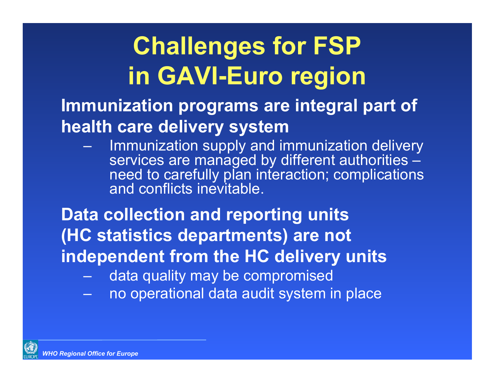**Immunization programs are integral part of health care delivery system**

 Immunization supply and immunization delivery services are managed by different authorities need to carefully plan interaction; complications and conflicts inevitable.

**Data collection and reporting units (HC statistics departments) are not independent from the HC delivery units** 

- data quality may be compromised
- no operational data audit system in place

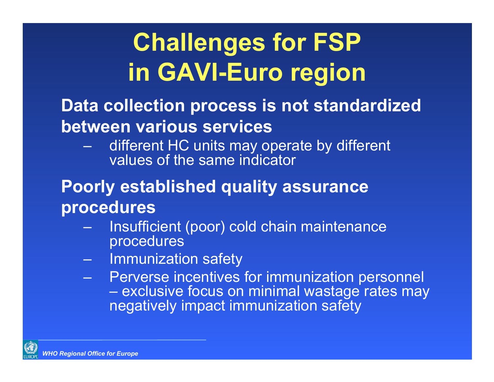#### **Data collection process is not standardized between various services**

- different HC units may operate by different values of the same indicator

#### **Poorly established quality assurance procedures**

- Insufficient (poor) cold chain maintenance procedures
- Immunization safety
- –- Perverse incentives for immunization personnel – exclusive focus on minimal wastage rates may negatively impact immunization safety

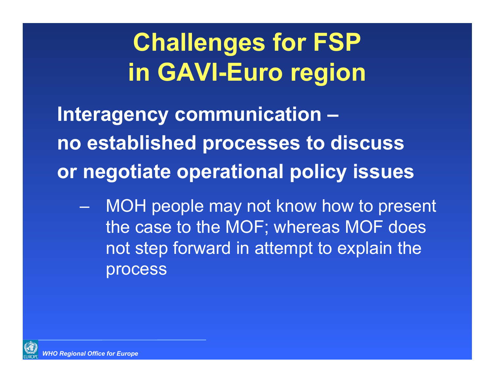**Interagency communication – no established processes to discuss or negotiate operational policy issues**

– MOH people may not know how to present the case to the MOF; whereas MOF does not step forward in attempt to explain the process

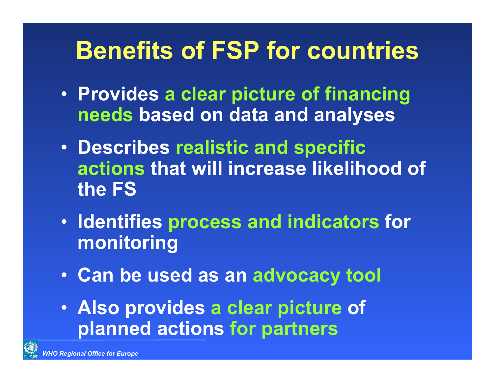## **Benefits of FSP for countries**

- **Provides a clear picture of financing needs based on data and analyses**
- **Describes realistic and specific actions that will increase likelihood of the FS**
- **Identifies process and indicators for monitoring**
- **Can be used as an advocacy tool**
- **Also provides a clear picture of planned actions for partners**

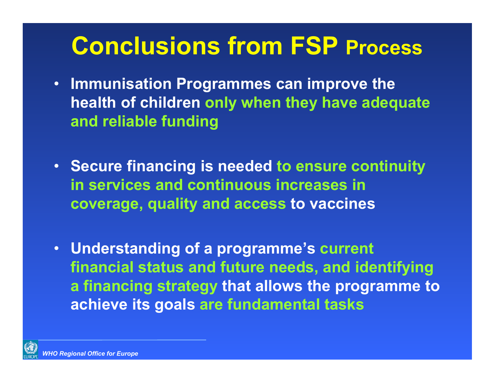### **Conclusions from FSP Process**

- **Immunisation Programmes can improve the health of children only when they have adequate and reliable funding**
- **Secure financing is needed to ensure continuity in services and continuous increases in coverage, quality and access to vaccines**
- • **Understanding of a programme's current financial status and future needs, and identifying a financing strategy that allows the programme to achieve its goals are fundamental tasks**